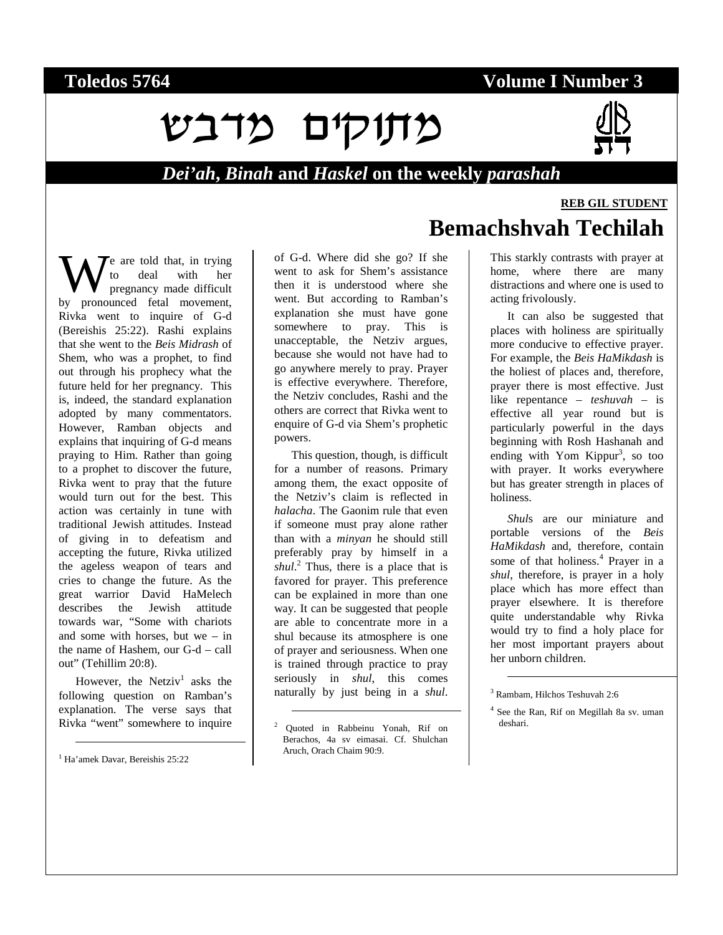### **Toledos 5764 Volume I Number 3**

# מחלים מדבש



#### *Dei'ah***,** *Binah* **and** *Haskel* **on the weekly** *parashah*

e are told that, in trying to deal with her pregnancy made difficult We are told that, in trying<br>to deal with her<br>by pronounced fetal movement, Rivka went to inquire of G-d (Bereishis 25:22). Rashi explains that she went to the *Beis Midrash* of Shem, who was a prophet, to find out through his prophecy what the future held for her pregnancy. This is, indeed, the standard explanation adopted by many commentators. However, Ramban objects and explains that inquiring of G-d means praying to Him. Rather than going to a prophet to discover the future, Rivka went to pray that the future would turn out for the best. This action was certainly in tune with traditional Jewish attitudes. Instead of giving in to defeatism and accepting the future, Rivka utilized the ageless weapon of tears and cries to change the future. As the great warrior David HaMelech describes the Jewish attitude towards war, "Some with chariots and some with horses, but we – in the name of Hashem, our G-d – call out" (Tehillim 20:8).

However, the Netziv<sup>1</sup> asks the following question on Ramban's explanation. The verse says that Rivka "went" somewhere to inquire

<sup>1</sup> Ha'amek Davar, Bereishis 25:22

-

of G-d. Where did she go? If she went to ask for Shem's assistance then it is understood where she went. But according to Ramban's explanation she must have gone somewhere to pray. This is unacceptable, the Netziv argues, because she would not have had to go anywhere merely to pray. Prayer is effective everywhere. Therefore, the Netziv concludes, Rashi and the others are correct that Rivka went to enquire of G-d via Shem's prophetic powers.

This question, though, is difficult for a number of reasons. Primary among them, the exact opposite of the Netziv's claim is reflected in *halacha*. The Gaonim rule that even if someone must pray alone rather than with a *minyan* he should still preferably pray by himself in a *shul*. <sup>2</sup> Thus, there is a place that is favored for prayer. This preference can be explained in more than one way. It can be suggested that people are able to concentrate more in a shul because its atmosphere is one of prayer and seriousness. When one is trained through practice to pray seriously in *shul*, this comes naturally by just being in a *shul*.

 $\overline{a}$ 

# **Bemachshvah Techilah**

This starkly contrasts with prayer at home, where there are many distractions and where one is used to acting frivolously.

It can also be suggested that places with holiness are spiritually more conducive to effective prayer. For example, the *Beis HaMikdash* is the holiest of places and, therefore, prayer there is most effective. Just like repentance – *teshuvah* – is effective all year round but is particularly powerful in the days beginning with Rosh Hashanah and ending with Yom Kippur<sup>3</sup>, so too with prayer. It works everywhere but has greater strength in places of holiness.

*Shul*s are our miniature and portable versions of the *Beis HaMikdash* and, therefore, contain some of that holiness.<sup>4</sup> Prayer in a *shul*, therefore, is prayer in a holy place which has more effect than prayer elsewhere. It is therefore quite understandable why Rivka would try to find a holy place for her most important prayers about her unborn children.

3 Rambam, Hilchos Teshuvah 2:6

l

**REB GIL STUDENT**

<sup>2</sup> Quoted in Rabbeinu Yonah, Rif on Berachos, 4a sv eimasai. Cf. Shulchan Aruch, Orach Chaim 90:9.

<sup>4</sup> See the Ran, Rif on Megillah 8a sv. uman deshari.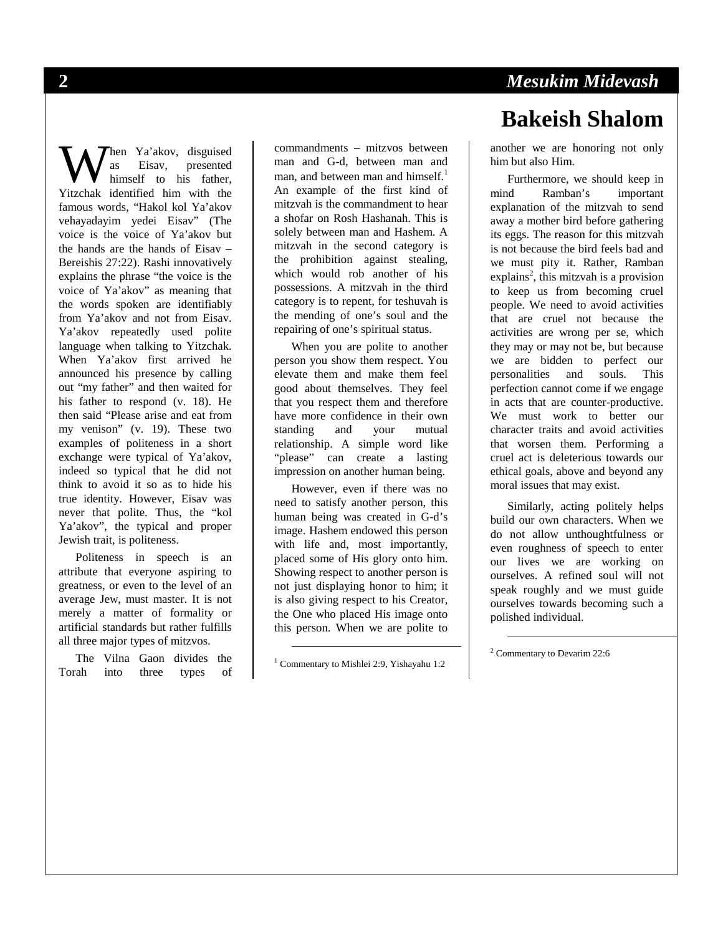hen Ya'akov, disguised as Eisav, presented himself to his father, When Ya'akov, disguised<br>as Eisav, presented<br>himself to his father,<br>Yitzchak identified him with the famous words, "Hakol kol Ya'akov vehayadayim yedei Eisav" (The voice is the voice of Ya'akov but the hands are the hands of Eisav – Bereishis 27:22). Rashi innovatively explains the phrase "the voice is the voice of Ya'akov" as meaning that the words spoken are identifiably from Ya'akov and not from Eisav. Ya'akov repeatedly used polite language when talking to Yitzchak. When Ya'akov first arrived he announced his presence by calling out "my father" and then waited for his father to respond (v. 18). He then said "Please arise and eat from my venison" (v. 19). These two examples of politeness in a short exchange were typical of Ya'akov, indeed so typical that he did not think to avoid it so as to hide his true identity. However, Eisav was never that polite. Thus, the "kol Ya'akov", the typical and proper Jewish trait, is politeness.

Politeness in speech is an attribute that everyone aspiring to greatness, or even to the level of an average Jew, must master. It is not merely a matter of formality or artificial standards but rather fulfills all three major types of mitzvos.

The Vilna Gaon divides the Torah into three types of commandments – mitzvos between man and G-d, between man and man, and between man and himself.<sup>1</sup> An example of the first kind of mitzvah is the commandment to hear a shofar on Rosh Hashanah. This is solely between man and Hashem. A mitzvah in the second category is the prohibition against stealing, which would rob another of his possessions. A mitzvah in the third category is to repent, for teshuvah is the mending of one's soul and the repairing of one's spiritual status.

When you are polite to another person you show them respect. You elevate them and make them feel good about themselves. They feel that you respect them and therefore have more confidence in their own standing and your mutual relationship. A simple word like "please" can create a lasting impression on another human being.

However, even if there was no need to satisfy another person, this human being was created in G-d's image. Hashem endowed this person with life and, most importantly, placed some of His glory onto him. Showing respect to another person is not just displaying honor to him; it is also giving respect to his Creator, the One who placed His image onto this person. When we are polite to

 $\overline{a}$ 

# **2** *Mesukim Midevash*  **Bakeish Shalom**

another we are honoring not only him but also Him.

Furthermore, we should keep in mind Ramban's important explanation of the mitzvah to send away a mother bird before gathering its eggs. The reason for this mitzvah is not because the bird feels bad and we must pity it. Rather, Ramban  $explains<sup>2</sup>$ , this mitzvah is a provision to keep us from becoming cruel people. We need to avoid activities that are cruel not because the activities are wrong per se, which they may or may not be, but because we are bidden to perfect our personalities and souls. This perfection cannot come if we engage in acts that are counter-productive. We must work to better our character traits and avoid activities that worsen them. Performing a cruel act is deleterious towards our ethical goals, above and beyond any moral issues that may exist.

Similarly, acting politely helps build our own characters. When we do not allow unthoughtfulness or even roughness of speech to enter our lives we are working on ourselves. A refined soul will not speak roughly and we must guide ourselves towards becoming such a polished individual.

 $\overline{a}$ 

<sup>1</sup> Commentary to Mishlei 2:9, Yishayahu 1:2

<sup>2</sup> Commentary to Devarim 22:6